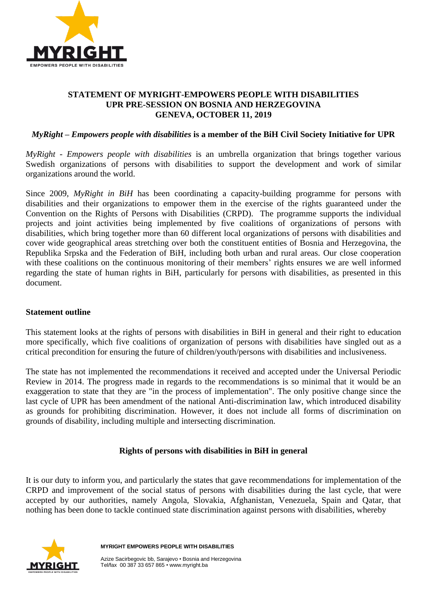

# **STATEMENT OF MYRIGHT-EMPOWERS PEOPLE WITH DISABILITIES UPR PRE-SESSION ON BOSNIA AND HERZEGOVINA GENEVA, OCTOBER 11, 2019**

# *MyRight – Empowers people with disabilities* **is a member of the BiH Civil Society Initiative for UPR**

*MyRight - Empowers people with disabilities* is an umbrella organization that brings together various Swedish organizations of persons with disabilities to support the development and work of similar organizations around the world.

Since 2009, *MyRight in BiH* has been coordinating a capacity-building programme for persons with disabilities and their organizations to empower them in the exercise of the rights guaranteed under the Convention on the Rights of Persons with Disabilities (CRPD). The programme supports the individual projects and joint activities being implemented by five coalitions of organizations of persons with disabilities, which bring together more than 60 different local organizations of persons with disabilities and cover wide geographical areas stretching over both the constituent entities of Bosnia and Herzegovina, the Republika Srpska and the Federation of BiH, including both urban and rural areas. Our close cooperation with these coalitions on the continuous monitoring of their members' rights ensures we are well informed regarding the state of human rights in BiH, particularly for persons with disabilities, as presented in this document.

### **Statement outline**

This statement looks at the rights of persons with disabilities in BiH in general and their right to education more specifically, which five coalitions of organization of persons with disabilities have singled out as a critical precondition for ensuring the future of children/youth/persons with disabilities and inclusiveness.

The state has not implemented the recommendations it received and accepted under the Universal Periodic Review in 2014. The progress made in regards to the recommendations is so minimal that it would be an exaggeration to state that they are "in the process of implementation". The only positive change since the last cycle of UPR has been amendment of the national Anti-discrimination law, which introduced disability as grounds for prohibiting discrimination. However, it does not include all forms of discrimination on grounds of disability, including multiple and intersecting discrimination.

### **Rights of persons with disabilities in BiH in general**

It is our duty to inform you, and particularly the states that gave recommendations for implementation of the CRPD and improvement of the social status of persons with disabilities during the last cycle, that were accepted by our authorities, namely Angola, Slovakia, Afghanistan, Venezuela, Spain and Qatar, that nothing has been done to tackle continued state discrimination against persons with disabilities, whereby



 **MYRIGHT EMPOWERS PEOPLE WITH DISABILITIES**

 Azize Sacirbegovic bb, Sarajevo • Bosnia and Herzegovina Tel/fax 00 387 33 657 865 • www.myright.ba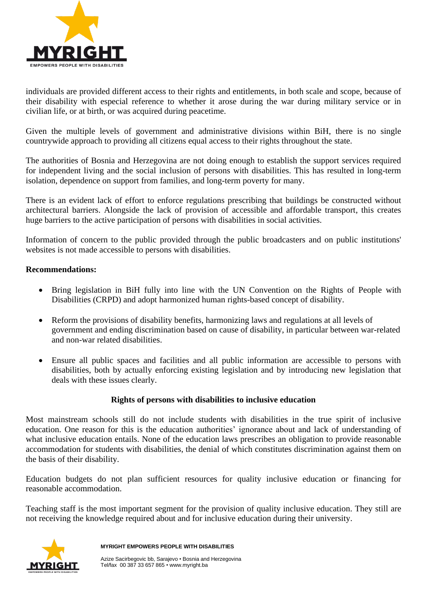

individuals are provided different access to their rights and entitlements, in both scale and scope, because of their disability with especial reference to whether it arose during the war during military service or in civilian life, or at birth, or was acquired during peacetime.

Given the multiple levels of government and administrative divisions within BiH, there is no single countrywide approach to providing all citizens equal access to their rights throughout the state.

The authorities of Bosnia and Herzegovina are not doing enough to establish the support services required for independent living and the social inclusion of persons with disabilities. This has resulted in long-term isolation, dependence on support from families, and long-term poverty for many.

There is an evident lack of effort to enforce regulations prescribing that buildings be constructed without architectural barriers. Alongside the lack of provision of accessible and affordable transport, this creates huge barriers to the active participation of persons with disabilities in social activities.

Information of concern to the public provided through the public broadcasters and on public institutions' websites is not made accessible to persons with disabilities.

# **Recommendations:**

- Bring legislation in BiH fully into line with the UN Convention on the Rights of People with Disabilities (CRPD) and adopt harmonized human rights-based concept of disability.
- Reform the provisions of disability benefits, harmonizing laws and regulations at all levels of government and ending discrimination based on cause of disability, in particular between war-related and non-war related disabilities.
- Ensure all public spaces and facilities and all public information are accessible to persons with disabilities, both by actually enforcing existing legislation and by introducing new legislation that deals with these issues clearly.

### **Rights of persons with disabilities to inclusive education**

Most mainstream schools still do not include students with disabilities in the true spirit of inclusive education. One reason for this is the education authorities' ignorance about and lack of understanding of what inclusive education entails. None of the education laws prescribes an obligation to provide reasonable accommodation for students with disabilities, the denial of which constitutes discrimination against them on the basis of their disability.

Education budgets do not plan sufficient resources for quality inclusive education or financing for reasonable accommodation.

Teaching staff is the most important segment for the provision of quality inclusive education. They still are not receiving the knowledge required about and for inclusive education during their university.



 **MYRIGHT EMPOWERS PEOPLE WITH DISABILITIES**

 Azize Sacirbegovic bb, Sarajevo • Bosnia and Herzegovina Tel/fax 00 387 33 657 865 • www.myright.ba